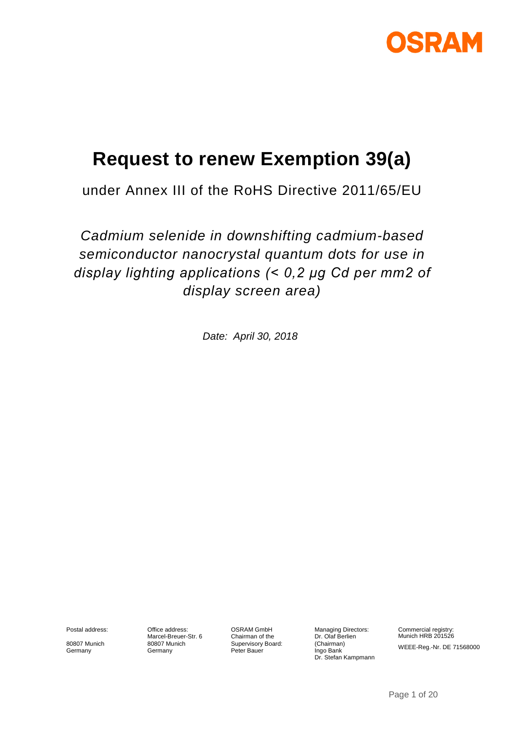

# **Request to renew Exemption 39(a)**

under Annex III of the RoHS Directive 2011/65/EU

*Cadmium selenide in downshifting cadmium-based semiconductor nanocrystal quantum dots for use in display lighting applications (< 0,2 μg Cd per mm2 of display screen area)*

*Date: April 30, 2018*

Postal address:

80807 Munich Germany

Office address: Marcel-Breuer-Str. 6 80807 Munich Germany

OSRAM GmbH Chairman of the Supervisory Board: Peter Bauer

Managing Directors: Dr. Olaf Berlien (Chairman) Ingo Bank Dr. Stefan Kampmann Commercial registry: Munich HRB 201526 WEEE-Reg.-Nr. DE 71568000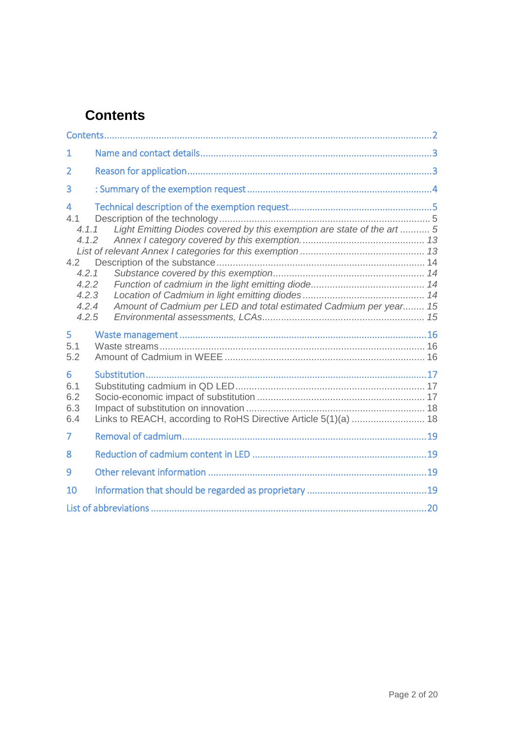# <span id="page-1-0"></span>**Contents**

<span id="page-1-1"></span>

| $\mathbf{1}$                                                                                         |                                                                                                                                              |
|------------------------------------------------------------------------------------------------------|----------------------------------------------------------------------------------------------------------------------------------------------|
| $\overline{2}$                                                                                       |                                                                                                                                              |
| 3                                                                                                    |                                                                                                                                              |
| $\overline{\mathbf{4}}$<br>4.1<br>4.1.1<br>4.1.2<br>4.2<br>4.2.1<br>4.2.2<br>4.2.3<br>4.2.4<br>4.2.5 | Light Emitting Diodes covered by this exemption are state of the art  5<br>Amount of Cadmium per LED and total estimated Cadmium per year 15 |
| 5<br>5.1<br>5.2                                                                                      |                                                                                                                                              |
| 6<br>6.1<br>6.2<br>6.3<br>6.4                                                                        |                                                                                                                                              |
| 7                                                                                                    |                                                                                                                                              |
| 8                                                                                                    |                                                                                                                                              |
| 9                                                                                                    |                                                                                                                                              |
| 10                                                                                                   |                                                                                                                                              |
|                                                                                                      |                                                                                                                                              |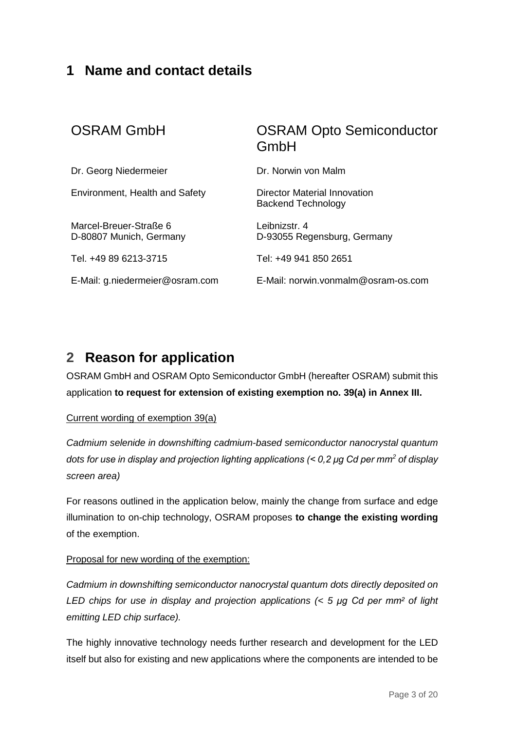### **1 Name and contact details**

| <b>OSRAM GmbH</b>                                 | <b>OSRAM Opto Semiconductor</b><br>GmbH            |
|---------------------------------------------------|----------------------------------------------------|
| Dr. Georg Niedermeier                             | Dr. Norwin von Malm                                |
| Environment, Health and Safety                    | Director Material Innovation<br>Backend Technology |
| Marcel-Breuer-Straße 6<br>D-80807 Munich, Germany | Leibnizstr. 4<br>D-93055 Regensburg, Germany       |
| Tel. +49 89 6213-3715                             | Tel: +49 941 850 2651                              |
| E-Mail: g.niedermeier@osram.com                   | E-Mail: norwin.vonmalm@osram-os.com                |

## <span id="page-2-0"></span>**2 Reason for application**

OSRAM GmbH and OSRAM Opto Semiconductor GmbH (hereafter OSRAM) submit this application **to request for extension of existing exemption no. 39(a) in Annex III.**

#### Current wording of exemption 39(a)

*Cadmium selenide in downshifting cadmium-based semiconductor nanocrystal quantum dots for use in display and projection lighting applications (< 0,2 μg Cd per mm<sup>2</sup> of display screen area)*

For reasons outlined in the application below, mainly the change from surface and edge illumination to on-chip technology, OSRAM proposes **to change the existing wording**  of the exemption.

#### Proposal for new wording of the exemption:

*Cadmium in downshifting semiconductor nanocrystal quantum dots directly deposited on LED chips for use in display and projection applications (< 5 μg Cd per mm² of light emitting LED chip surface).*

The highly innovative technology needs further research and development for the LED itself but also for existing and new applications where the components are intended to be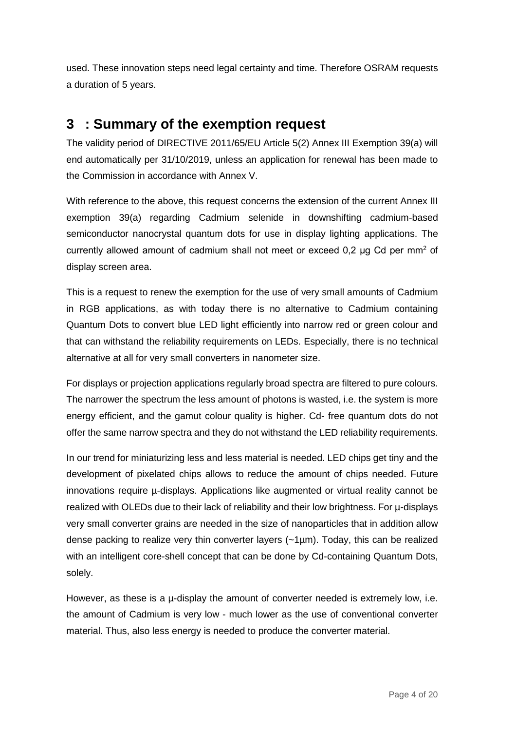used. These innovation steps need legal certainty and time. Therefore OSRAM requests a duration of 5 years.

### <span id="page-3-0"></span>**3 : Summary of the exemption request**

The validity period of DIRECTIVE 2011/65/EU Article 5(2) Annex III Exemption 39(a) will end automatically per 31/10/2019, unless an application for renewal has been made to the Commission in accordance with Annex V.

With reference to the above, this request concerns the extension of the current Annex III exemption 39(a) regarding Cadmium selenide in downshifting cadmium-based semiconductor nanocrystal quantum dots for use in display lighting applications. The currently allowed amount of cadmium shall not meet or exceed  $0.2 \mu g$  Cd per mm<sup>2</sup> of display screen area.

This is a request to renew the exemption for the use of very small amounts of Cadmium in RGB applications, as with today there is no alternative to Cadmium containing Quantum Dots to convert blue LED light efficiently into narrow red or green colour and that can withstand the reliability requirements on LEDs. Especially, there is no technical alternative at all for very small converters in nanometer size.

For displays or projection applications regularly broad spectra are filtered to pure colours. The narrower the spectrum the less amount of photons is wasted, i.e. the system is more energy efficient, and the gamut colour quality is higher. Cd- free quantum dots do not offer the same narrow spectra and they do not withstand the LED reliability requirements.

In our trend for miniaturizing less and less material is needed. LED chips get tiny and the development of pixelated chips allows to reduce the amount of chips needed. Future innovations require µ-displays. Applications like augmented or virtual reality cannot be realized with OLEDs due to their lack of reliability and their low brightness. For µ-displays very small converter grains are needed in the size of nanoparticles that in addition allow dense packing to realize very thin converter layers  $(-1\mu m)$ . Today, this can be realized with an intelligent core-shell concept that can be done by Cd-containing Quantum Dots, solely.

However, as these is a  $\mu$ -display the amount of converter needed is extremely low, i.e. the amount of Cadmium is very low - much lower as the use of conventional converter material. Thus, also less energy is needed to produce the converter material.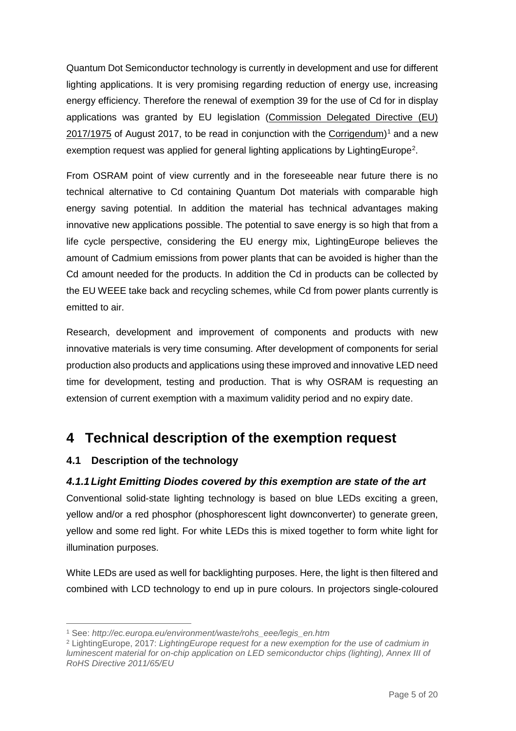Quantum Dot Semiconductor technology is currently in development and use for different lighting applications. It is very promising regarding reduction of energy use, increasing energy efficiency. Therefore the renewal of exemption 39 for the use of Cd for in display applications was granted by EU legislation [\(Commission Delegated Directive \(EU\)](http://eur-lex.europa.eu/legal-content/EN/TXT/?qid=1509449210131&uri=CELEX:32017L1975)  [2017/1975](http://eur-lex.europa.eu/legal-content/EN/TXT/?qid=1509449210131&uri=CELEX:32017L1975) of August 2017, to be read in conjunction with the [Corrigendum\)](http://eur-lex.europa.eu/legal-content/EN/TXT/?uri=CELEX:32017L1975R(01))<sup>[1](#page-4-3)</sup> and a new exemption request was applied for general lighting applications by LightingEurope<sup>[2](#page-4-4)</sup>.

From OSRAM point of view currently and in the foreseeable near future there is no technical alternative to Cd containing Quantum Dot materials with comparable high energy saving potential. In addition the material has technical advantages making innovative new applications possible. The potential to save energy is so high that from a life cycle perspective, considering the EU energy mix, LightingEurope believes the amount of Cadmium emissions from power plants that can be avoided is higher than the Cd amount needed for the products. In addition the Cd in products can be collected by the EU WEEE take back and recycling schemes, while Cd from power plants currently is emitted to air.

Research, development and improvement of components and products with new innovative materials is very time consuming. After development of components for serial production also products and applications using these improved and innovative LED need time for development, testing and production. That is why OSRAM is requesting an extension of current exemption with a maximum validity period and no expiry date.

### <span id="page-4-0"></span>**4 Technical description of the exemption request**

#### <span id="page-4-1"></span>**4.1 Description of the technology**

#### <span id="page-4-2"></span>*4.1.1Light Emitting Diodes covered by this exemption are state of the art*

Conventional solid-state lighting technology is based on blue LEDs exciting a green, yellow and/or a red phosphor (phosphorescent light downconverter) to generate green, yellow and some red light. For white LEDs this is mixed together to form white light for illumination purposes.

White LEDs are used as well for backlighting purposes. Here, the light is then filtered and combined with LCD technology to end up in pure colours. In projectors single-coloured

<sup>1</sup> See: *http://ec.europa.eu/environment/waste/rohs\_eee/legis\_en.htm*  $\overline{a}$ 

<span id="page-4-4"></span><span id="page-4-3"></span><sup>2</sup> LightingEurope, 2017: *LightingEurope request for a new exemption for the use of cadmium in luminescent material for on-chip application on LED semiconductor chips (lighting), Annex III of RoHS Directive 2011/65/EU*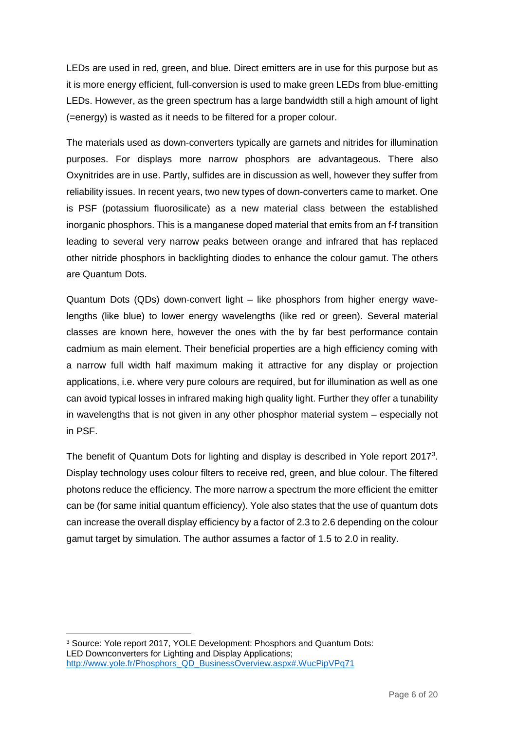LEDs are used in red, green, and blue. Direct emitters are in use for this purpose but as it is more energy efficient, full-conversion is used to make green LEDs from blue-emitting LEDs. However, as the green spectrum has a large bandwidth still a high amount of light (=energy) is wasted as it needs to be filtered for a proper colour.

The materials used as down-converters typically are garnets and nitrides for illumination purposes. For displays more narrow phosphors are advantageous. There also Oxynitrides are in use. Partly, sulfides are in discussion as well, however they suffer from reliability issues. In recent years, two new types of down-converters came to market. One is PSF (potassium fluorosilicate) as a new material class between the established inorganic phosphors. This is a manganese doped material that emits from an f-f transition leading to several very narrow peaks between orange and infrared that has replaced other nitride phosphors in backlighting diodes to enhance the colour gamut. The others are Quantum Dots.

Quantum Dots (QDs) down-convert light – like phosphors from higher energy wavelengths (like blue) to lower energy wavelengths (like red or green). Several material classes are known here, however the ones with the by far best performance contain cadmium as main element. Their beneficial properties are a high efficiency coming with a narrow full width half maximum making it attractive for any display or projection applications, i.e. where very pure colours are required, but for illumination as well as one can avoid typical losses in infrared making high quality light. Further they offer a tunability in wavelengths that is not given in any other phosphor material system – especially not in PSF.

The benefit of Quantum Dots for lighting and display is described in Yole report 2017<sup>[3](#page-5-0)</sup>. Display technology uses colour filters to receive red, green, and blue colour. The filtered photons reduce the efficiency. The more narrow a spectrum the more efficient the emitter can be (for same initial quantum efficiency). Yole also states that the use of quantum dots can increase the overall display efficiency by a factor of 2.3 to 2.6 depending on the colour gamut target by simulation. The author assumes a factor of 1.5 to 2.0 in reality.

<span id="page-5-0"></span><sup>3</sup> Source: Yole report 2017, YOLE Development: Phosphors and Quantum Dots: LED Downconverters for Lighting and Display Applications; [http://www.yole.fr/Phosphors\\_QD\\_BusinessOverview.aspx#.WucPipVPq71](http://www.yole.fr/Phosphors_QD_BusinessOverview.aspx%23.WucPipVPq71)  $\overline{a}$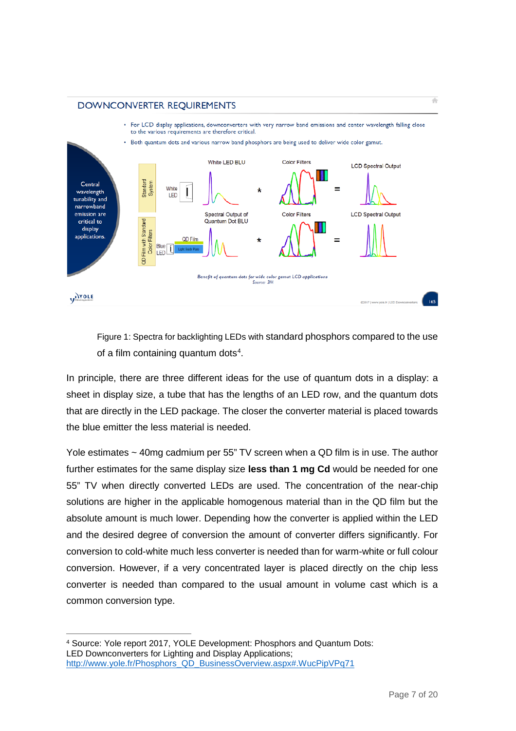#### DOWNCONVERTER REQUIREMENTS





Figure 1: Spectra for backlighting LEDs with standard phosphors compared to the use of a film containing quantum dots<sup>[4](#page-6-0)</sup>.

In principle, there are three different ideas for the use of quantum dots in a display: a sheet in display size, a tube that has the lengths of an LED row, and the quantum dots that are directly in the LED package. The closer the converter material is placed towards the blue emitter the less material is needed.

Yole estimates ~ 40mg cadmium per 55" TV screen when a QD film is in use. The author further estimates for the same display size **less than 1 mg Cd** would be needed for one 55" TV when directly converted LEDs are used. The concentration of the near-chip solutions are higher in the applicable homogenous material than in the QD film but the absolute amount is much lower. Depending how the converter is applied within the LED and the desired degree of conversion the amount of converter differs significantly. For conversion to cold-white much less converter is needed than for warm-white or full colour conversion. However, if a very concentrated layer is placed directly on the chip less converter is needed than compared to the usual amount in volume cast which is a common conversion type.

<span id="page-6-0"></span><sup>4</sup> Source: Yole report 2017, YOLE Development: Phosphors and Quantum Dots: LED Downconverters for Lighting and Display Applications; [http://www.yole.fr/Phosphors\\_QD\\_BusinessOverview.aspx#.WucPipVPq71](http://www.yole.fr/Phosphors_QD_BusinessOverview.aspx%23.WucPipVPq71)  $\overline{a}$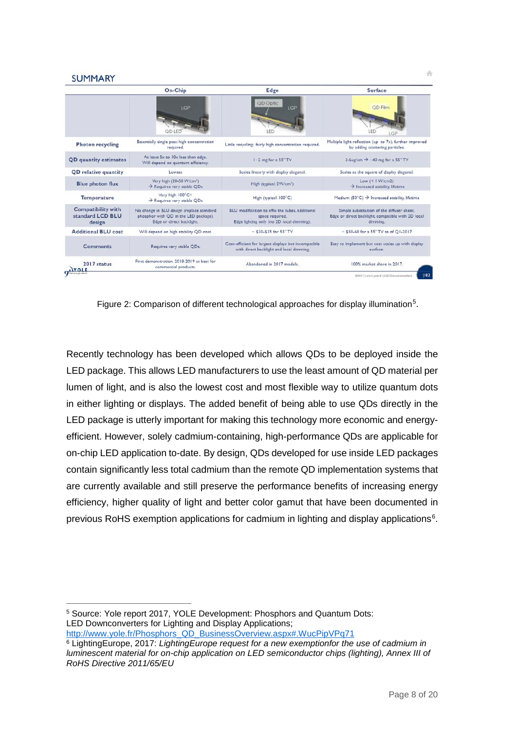#### **SUMMARY**

|                                                         | On-Chip                                                                                                         | Edge                                                                                                            | <b>Surface</b>                                                                                               |  |
|---------------------------------------------------------|-----------------------------------------------------------------------------------------------------------------|-----------------------------------------------------------------------------------------------------------------|--------------------------------------------------------------------------------------------------------------|--|
|                                                         | LGP                                                                                                             | QD Optic<br>LGP                                                                                                 | QD Film                                                                                                      |  |
| <b>Photon recycling</b>                                 | Essentially single pass: high concentration<br>required.                                                        | Little recycling: fairly high concentration required.                                                           | Multiple light reflection (up to 7x), further improved<br>by adding scattering particles.                    |  |
| <b>QD</b> quantity estimates                            | At least 5x to 10x less than edge.<br>Will depend on quantum efficiency.                                        | 1-2 mg for a 55" TV                                                                                             | 3-6ug/cm $\rightarrow$ -40 mg for a 55" TV                                                                   |  |
| <b>QD</b> relative quantity                             | Lowest                                                                                                          | Scales linearly with display diagonal.                                                                          | Scales as the square of display diagonal.                                                                    |  |
| <b>Blue photon flux</b>                                 | Very high (20-50 W/cm <sup>2</sup> )<br>$\rightarrow$ Requires very stable QDs                                  | High (typical: 2W/cm <sup>2</sup> )                                                                             | Low $(< 1 W/cm2)$<br>$\rightarrow$ Increased stability, lifetime                                             |  |
| <b>Temperature</b>                                      | Very high 100°C+<br>$\rightarrow$ Requires very stable QDs                                                      | High (typical: 100°C)                                                                                           | Medium (50°C) $\rightarrow$ Increased stability, lifetime                                                    |  |
| <b>Compatibility with</b><br>standard LCD BLU<br>design | No change in BLU design (replace standard<br>phosphor with QD in the LED package).<br>Edge or direct backlight. | BLU modification to affix the tubes, additional<br>space required.<br>Edge lighting only (no 2D local dimming). | Simple substitution of the diffuser sheet.<br>Edge or direct backlight, compatible with 2D local<br>dimming. |  |
| <b>Additional BLU cost</b>                              | Will depend on high stability QD cost.                                                                          | $~530 - 535$ for 55" TV                                                                                         | $-$ \$50-60 for a 55" TV as of $O1-2017$                                                                     |  |
| <b>Comments</b>                                         | Requires very stable QDs.                                                                                       | Cost-efficient for largest displays but incompatible<br>with direct backlight and local dimming.                | Easy to implement but cost scales up with display<br>surface.                                                |  |
| 2017 status<br><b>YOLF</b>                              | First demonstration, 2018-2019 at best for<br>commercial products.                                              | Abandoned in 2017 models.                                                                                       | 100% market share in 2017.                                                                                   |  |

Figure 2: Comparison of different technological approaches for display illumination<sup>[5](#page-7-0)</sup>.

Recently technology has been developed which allows QDs to be deployed inside the LED package. This allows LED manufacturers to use the least amount of QD material per lumen of light, and is also the lowest cost and most flexible way to utilize quantum dots in either lighting or displays. The added benefit of being able to use QDs directly in the LED package is utterly important for making this technology more economic and energyefficient. However, solely cadmium-containing, high-performance QDs are applicable for on-chip LED application to-date. By design, QDs developed for use inside LED packages contain significantly less total cadmium than the remote QD implementation systems that are currently available and still preserve the performance benefits of increasing energy efficiency, higher quality of light and better color gamut that have been documented in previous RoHS exemption applications for cadmium in lighting and display applications $^6$  $^6$ .

<span id="page-7-0"></span><sup>5</sup> Source: Yole report 2017, YOLE Development: Phosphors and Quantum Dots: LED Downconverters for Lighting and Display Applications; [http://www.yole.fr/Phosphors\\_QD\\_BusinessOverview.aspx#.WucPipVPq71](http://www.yole.fr/Phosphors_QD_BusinessOverview.aspx%23.WucPipVPq71)  $\overline{a}$ 

<span id="page-7-1"></span><sup>6</sup> LightingEurope, 2017: *LightingEurope request for a new exemptionfor the use of cadmium in luminescent material for on-chip application on LED semiconductor chips (lighting), Annex III of RoHS Directive 2011/65/EU*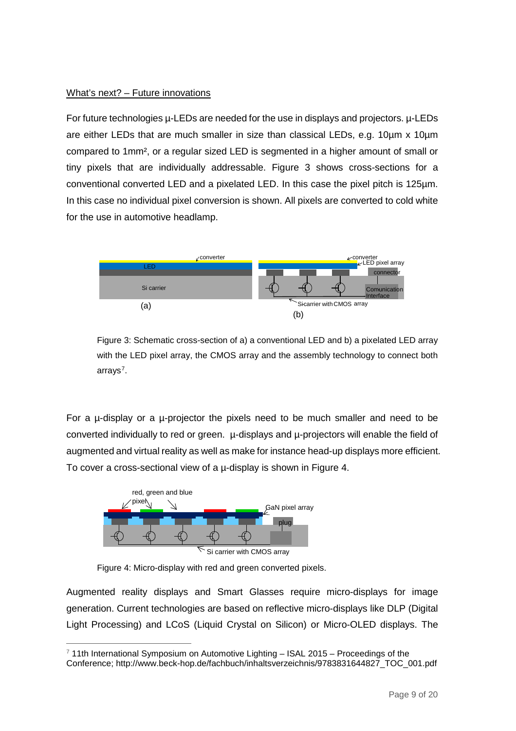#### What's next? – Future innovations

For future technologies µ-LEDs are needed for the use in displays and projectors. µ-LEDs are either LEDs that are much smaller in size than classical LEDs, e.g. 10um x 10um compared to 1mm², or a regular sized LED is segmented in a higher amount of small or tiny pixels that are individually addressable. Figure 3 shows cross-sections for a conventional converted LED and a pixelated LED. In this case the pixel pitch is 125µm. In this case no individual pixel conversion is shown. All pixels are converted to cold white for the use in automotive headlamp.



Figure 3: Schematic cross-section of a) a conventional LED and b) a pixelated LED array with the LED pixel array, the CMOS array and the assembly technology to connect both arrays<sup>7</sup>.

For a µ-display or a µ-projector the pixels need to be much smaller and need to be converted individually to red or green. µ-displays and µ-projectors will enable the field of augmented and virtual reality as well as make for instance head-up displays more efficient. To cover a cross-sectional view of a µ-display is shown in Figure 4.



Figure 4: Micro-display with red and green converted pixels.

Augmented reality displays and Smart Glasses require micro-displays for image generation. Current technologies are based on reflective micro-displays like DLP (Digital Light Processing) and LCoS (Liquid Crystal on Silicon) or Micro-OLED displays. The

<span id="page-8-0"></span><sup>7</sup> 11th International Symposium on Automotive Lighting – ISAL 2015 – Proceedings of the Conference; http://www.beck-hop.de/fachbuch/inhaltsverzeichnis/9783831644827\_TOC\_001.pdf  $\overline{a}$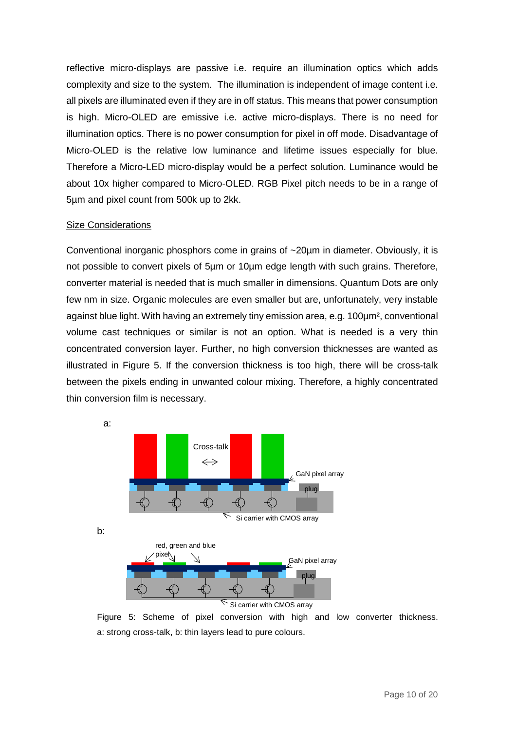reflective micro-displays are passive i.e. require an illumination optics which adds complexity and size to the system. The illumination is independent of image content i.e. all pixels are illuminated even if they are in off status. This means that power consumption is high. Micro-OLED are emissive i.e. active micro-displays. There is no need for illumination optics. There is no power consumption for pixel in off mode. Disadvantage of Micro-OLED is the relative low luminance and lifetime issues especially for blue. Therefore a Micro-LED micro-display would be a perfect solution. Luminance would be about 10x higher compared to Micro-OLED. RGB Pixel pitch needs to be in a range of 5µm and pixel count from 500k up to 2kk.

#### Size Considerations

Conventional inorganic phosphors come in grains of  $\sim$ 20 $\mu$ m in diameter. Obviously, it is not possible to convert pixels of 5µm or 10µm edge length with such grains. Therefore, converter material is needed that is much smaller in dimensions. Quantum Dots are only few nm in size. Organic molecules are even smaller but are, unfortunately, very instable against blue light. With having an extremely tiny emission area, e.g. 100µm², conventional volume cast techniques or similar is not an option. What is needed is a very thin concentrated conversion layer. Further, no high conversion thicknesses are wanted as illustrated in Figure 5. If the conversion thickness is too high, there will be cross-talk between the pixels ending in unwanted colour mixing. Therefore, a highly concentrated thin conversion film is necessary.



Figure 5: Scheme of pixel conversion with high and low converter thickness. a: strong cross-talk, b: thin layers lead to pure colours.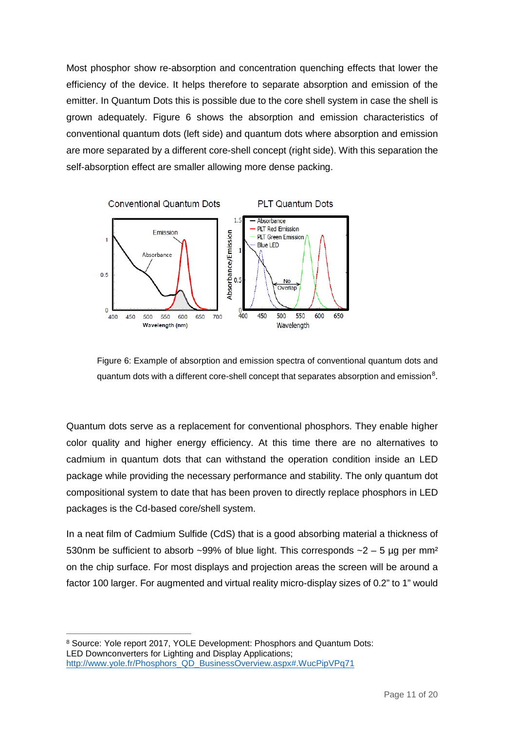Most phosphor show re-absorption and concentration quenching effects that lower the efficiency of the device. It helps therefore to separate absorption and emission of the emitter. In Quantum Dots this is possible due to the core shell system in case the shell is grown adequately. Figure 6 shows the absorption and emission characteristics of conventional quantum dots (left side) and quantum dots where absorption and emission are more separated by a different core-shell concept (right side). With this separation the self-absorption effect are smaller allowing more dense packing.



Figure 6: Example of absorption and emission spectra of conventional quantum dots and quantum dots with a different core-shell concept that separates absorption and emission $^8\!$  $^8\!$  $^8\!$ .

Quantum dots serve as a replacement for conventional phosphors. They enable higher color quality and higher energy efficiency. At this time there are no alternatives to cadmium in quantum dots that can withstand the operation condition inside an LED package while providing the necessary performance and stability. The only quantum dot compositional system to date that has been proven to directly replace phosphors in LED packages is the Cd-based core/shell system.

In a neat film of Cadmium Sulfide (CdS) that is a good absorbing material a thickness of 530nm be sufficient to absorb ~99% of blue light. This corresponds ~2 – 5  $\mu$ g per mm<sup>2</sup> on the chip surface. For most displays and projection areas the screen will be around a factor 100 larger. For augmented and virtual reality micro-display sizes of 0.2" to 1" would

<span id="page-10-0"></span><sup>8</sup> Source: Yole report 2017, YOLE Development: Phosphors and Quantum Dots: LED Downconverters for Lighting and Display Applications; [http://www.yole.fr/Phosphors\\_QD\\_BusinessOverview.aspx#.WucPipVPq71](http://www.yole.fr/Phosphors_QD_BusinessOverview.aspx%23.WucPipVPq71)  $\overline{a}$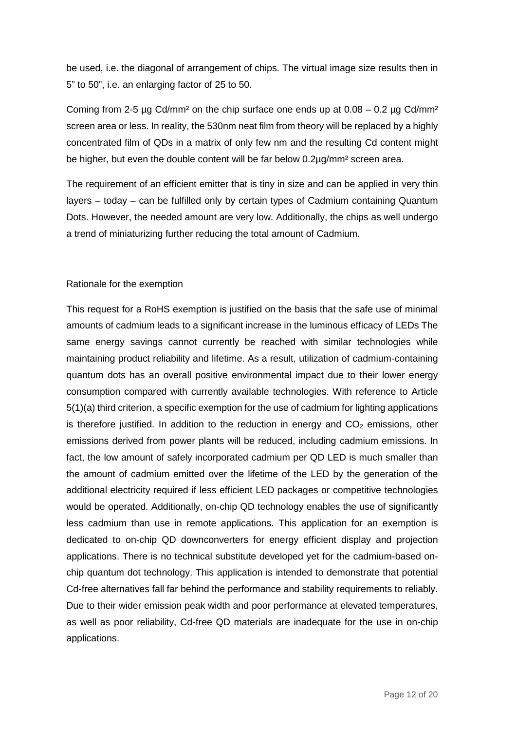be used, i.e. the diagonal of arrangement of chips. The virtual image size results then in 5" to 50", i.e. an enlarging factor of 25 to 50.

Coming from 2-5 µg Cd/mm<sup>2</sup> on the chip surface one ends up at  $0.08 - 0.2$  µg Cd/mm<sup>2</sup> screen area or less. In reality, the 530nm neat film from theory will be replaced by a highly concentrated film of QDs in a matrix of only few nm and the resulting Cd content might be higher, but even the double content will be far below 0.2µg/mm<sup>2</sup> screen area.

The requirement of an efficient emitter that is tiny in size and can be applied in very thin layers – today – can be fulfilled only by certain types of Cadmium containing Quantum Dots. However, the needed amount are very low. Additionally, the chips as well undergo a trend of miniaturizing further reducing the total amount of Cadmium.

#### Rationale for the exemption

This request for a RoHS exemption is justified on the basis that the safe use of minimal amounts of cadmium leads to a significant increase in the luminous efficacy of LEDs The same energy savings cannot currently be reached with similar technologies while maintaining product reliability and lifetime. As a result, utilization of cadmium-containing quantum dots has an overall positive environmental impact due to their lower energy consumption compared with currently available technologies. With reference to Article 5(1)(a) third criterion, a specific exemption for the use of cadmium for lighting applications is therefore justified. In addition to the reduction in energy and  $CO<sub>2</sub>$  emissions, other emissions derived from power plants will be reduced, including cadmium emissions. In fact, the low amount of safely incorporated cadmium per QD LED is much smaller than the amount of cadmium emitted over the lifetime of the LED by the generation of the additional electricity required if less efficient LED packages or competitive technologies would be operated. Additionally, on-chip QD technology enables the use of significantly less cadmium than use in remote applications. This application for an exemption is dedicated to on-chip QD downconverters for energy efficient display and projection applications. There is no technical substitute developed yet for the cadmium-based onchip quantum dot technology. This application is intended to demonstrate that potential Cd-free alternatives fall far behind the performance and stability requirements to reliably. Due to their wider emission peak width and poor performance at elevated temperatures, as well as poor reliability, Cd-free QD materials are inadequate for the use in on-chip applications.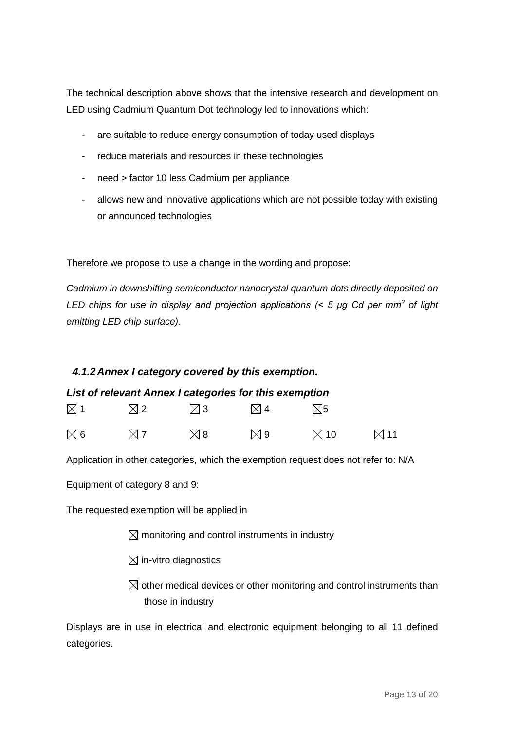The technical description above shows that the intensive research and development on LED using Cadmium Quantum Dot technology led to innovations which:

- are suitable to reduce energy consumption of today used displays
- reduce materials and resources in these technologies
- need > factor 10 less Cadmium per appliance
- allows new and innovative applications which are not possible today with existing or announced technologies

Therefore we propose to use a change in the wording and propose:

*Cadmium in downshifting semiconductor nanocrystal quantum dots directly deposited on LED chips for use in display and projection applications (< 5 μg Cd per mm<sup>2</sup> of light emitting LED chip surface).*

#### <span id="page-12-0"></span>*4.1.2Annex I category covered by this exemption.*

#### <span id="page-12-1"></span>*List of relevant Annex I categories for this exemption*

| $\boxtimes$ 1 | $\boxtimes$ 2 | $\boxtimes$ 3 | $\boxtimes$ 4 | $\nabla$ 5     |                |
|---------------|---------------|---------------|---------------|----------------|----------------|
| $\boxtimes$ 6 | $\boxtimes$ 7 | <b>⊠ 8</b>    | ⊠ 9           | $\boxtimes$ 10 | $\boxtimes$ 11 |

Application in other categories, which the exemption request does not refer to: N/A

Equipment of category 8 and 9:

The requested exemption will be applied in

 $\boxtimes$  monitoring and control instruments in industry

- $\boxtimes$  in-vitro diagnostics
- $\boxtimes$  other medical devices or other monitoring and control instruments than those in industry

Displays are in use in electrical and electronic equipment belonging to all 11 defined categories.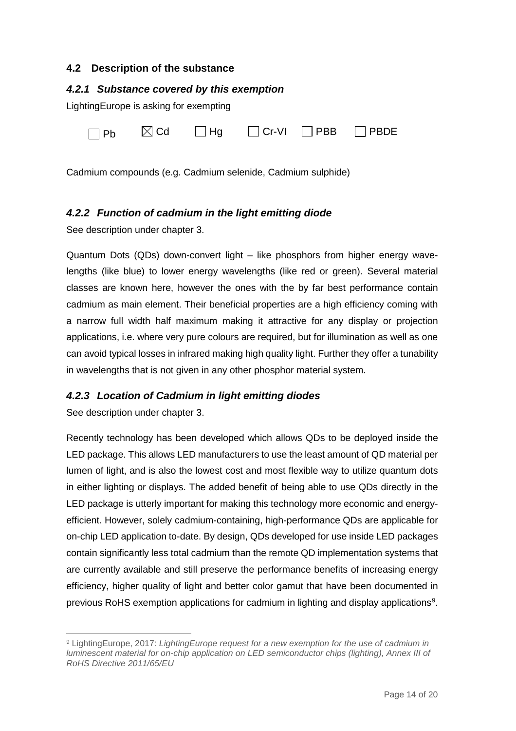#### <span id="page-13-0"></span>**4.2 Description of the substance**

#### <span id="page-13-1"></span>*4.2.1 Substance covered by this exemption*

LightingEurope is asking for exempting

| $\Box$ Pb | $\boxtimes$ Cd | $\Box$ Hg |  |  | $\Box$ Cr-VI $\Box$ PBB $\Box$ PBDE |
|-----------|----------------|-----------|--|--|-------------------------------------|
|-----------|----------------|-----------|--|--|-------------------------------------|

Cadmium compounds (e.g. Cadmium selenide, Cadmium sulphide)

#### <span id="page-13-2"></span>*4.2.2 Function of cadmium in the light emitting diode*

See description under chapter 3.

Quantum Dots (QDs) down-convert light – like phosphors from higher energy wavelengths (like blue) to lower energy wavelengths (like red or green). Several material classes are known here, however the ones with the by far best performance contain cadmium as main element. Their beneficial properties are a high efficiency coming with a narrow full width half maximum making it attractive for any display or projection applications, i.e. where very pure colours are required, but for illumination as well as one can avoid typical losses in infrared making high quality light. Further they offer a tunability in wavelengths that is not given in any other phosphor material system.

#### <span id="page-13-3"></span>*4.2.3 Location of Cadmium in light emitting diodes*

See description under chapter 3.

Recently technology has been developed which allows QDs to be deployed inside the LED package. This allows LED manufacturers to use the least amount of QD material per lumen of light, and is also the lowest cost and most flexible way to utilize quantum dots in either lighting or displays. The added benefit of being able to use QDs directly in the LED package is utterly important for making this technology more economic and energyefficient. However, solely cadmium-containing, high-performance QDs are applicable for on-chip LED application to-date. By design, QDs developed for use inside LED packages contain significantly less total cadmium than the remote QD implementation systems that are currently available and still preserve the performance benefits of increasing energy efficiency, higher quality of light and better color gamut that have been documented in previous RoHS exemption applications for cadmium in lighting and display applications $^9$  $^9$ .

<span id="page-13-4"></span><sup>9</sup> LightingEurope, 2017: *LightingEurope request for a new exemption for the use of cadmium in luminescent material for on-chip application on LED semiconductor chips (lighting), Annex III of RoHS Directive 2011/65/EU*  $\overline{a}$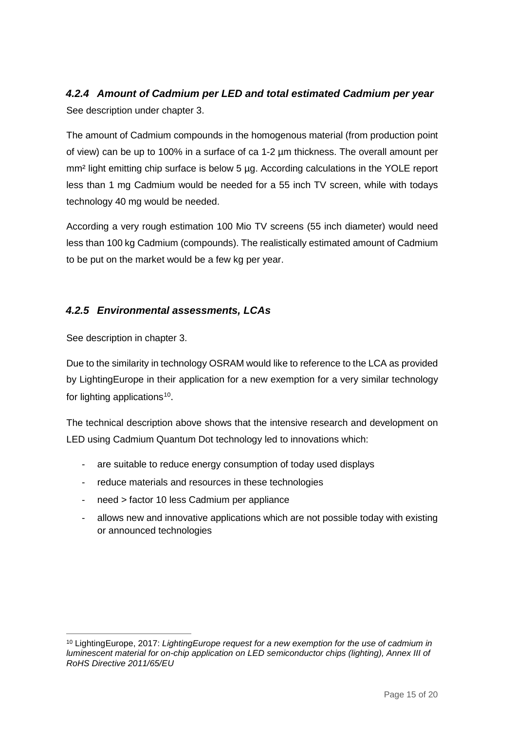### <span id="page-14-0"></span>*4.2.4 Amount of Cadmium per LED and total estimated Cadmium per year* See description under chapter 3.

The amount of Cadmium compounds in the homogenous material (from production point of view) can be up to 100% in a surface of ca 1-2 µm thickness. The overall amount per mm<sup>2</sup> light emitting chip surface is below 5 µg. According calculations in the YOLE report less than 1 mg Cadmium would be needed for a 55 inch TV screen, while with todays technology 40 mg would be needed.

According a very rough estimation 100 Mio TV screens (55 inch diameter) would need less than 100 kg Cadmium (compounds). The realistically estimated amount of Cadmium to be put on the market would be a few kg per year.

#### <span id="page-14-1"></span>*4.2.5 Environmental assessments, LCAs*

See description in chapter 3.

Due to the similarity in technology OSRAM would like to reference to the LCA as provided by LightingEurope in their application for a new exemption for a very similar technology for lighting applications<sup>10</sup>.

The technical description above shows that the intensive research and development on LED using Cadmium Quantum Dot technology led to innovations which:

- are suitable to reduce energy consumption of today used displays
- reduce materials and resources in these technologies
- need > factor 10 less Cadmium per appliance
- allows new and innovative applications which are not possible today with existing or announced technologies

<span id="page-14-3"></span><span id="page-14-2"></span><sup>10</sup> LightingEurope, 2017: *LightingEurope request for a new exemption for the use of cadmium in luminescent material for on-chip application on LED semiconductor chips (lighting), Annex III of RoHS Directive 2011/65/EU*  $\overline{a}$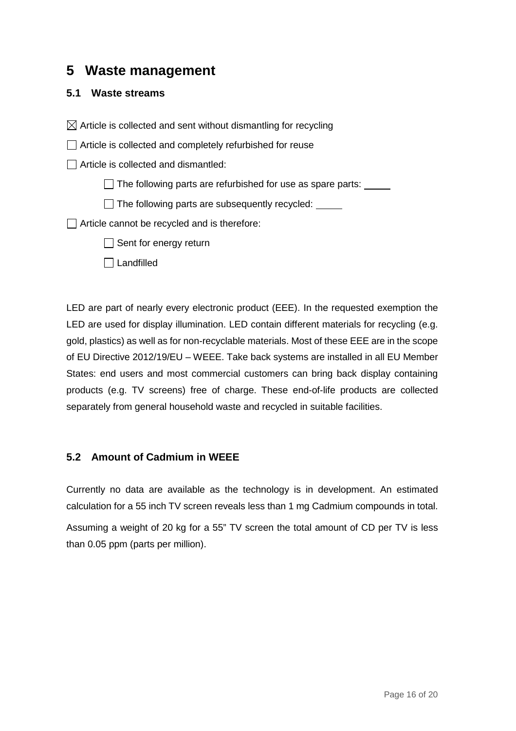### **5 Waste management**

#### <span id="page-15-0"></span>**5.1 Waste streams**

 $\boxtimes$  Article is collected and sent without dismantling for recycling

□ Article is collected and completely refurbished for reuse

 $\Box$  Article is collected and dismantled:

 $\Box$  The following parts are refurbished for use as spare parts:  $\Box$ 

 $\Box$  The following parts are subsequently recycled:

Article cannot be recycled and is therefore:

 $\Box$  Sent for energy return

#### $\Box$  Landfilled

LED are part of nearly every electronic product (EEE). In the requested exemption the LED are used for display illumination. LED contain different materials for recycling (e.g. gold, plastics) as well as for non-recyclable materials. Most of these EEE are in the scope of EU Directive 2012/19/EU – WEEE. Take back systems are installed in all EU Member States: end users and most commercial customers can bring back display containing products (e.g. TV screens) free of charge. These end-of-life products are collected separately from general household waste and recycled in suitable facilities.

#### <span id="page-15-1"></span>**5.2 Amount of Cadmium in WEEE**

Currently no data are available as the technology is in development. An estimated calculation for a 55 inch TV screen reveals less than 1 mg Cadmium compounds in total.

<span id="page-15-2"></span>Assuming a weight of 20 kg for a 55" TV screen the total amount of CD per TV is less than 0.05 ppm (parts per million).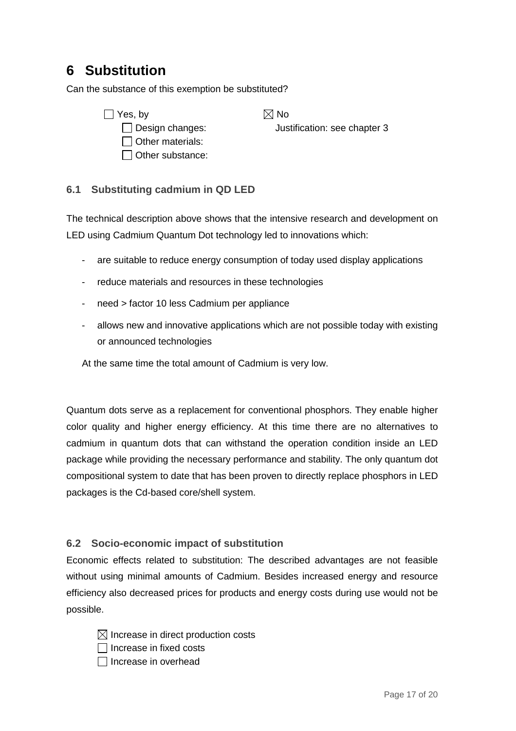# **6 Substitution**

Can the substance of this exemption be substituted?

 $\Box$  Yes, by  $\boxtimes$  No  $\Box$  Other materials:  $\Box$  Other substance:

□ Design changes: Justification: see chapter 3

#### <span id="page-16-0"></span>**6.1 Substituting cadmium in QD LED**

The technical description above shows that the intensive research and development on LED using Cadmium Quantum Dot technology led to innovations which:

- are suitable to reduce energy consumption of today used display applications
- reduce materials and resources in these technologies
- need > factor 10 less Cadmium per appliance
- allows new and innovative applications which are not possible today with existing or announced technologies

At the same time the total amount of Cadmium is very low.

Quantum dots serve as a replacement for conventional phosphors. They enable higher color quality and higher energy efficiency. At this time there are no alternatives to cadmium in quantum dots that can withstand the operation condition inside an LED package while providing the necessary performance and stability. The only quantum dot compositional system to date that has been proven to directly replace phosphors in LED packages is the Cd-based core/shell system.

#### <span id="page-16-1"></span>**6.2 Socio-economic impact of substitution**

Economic effects related to substitution: The described advantages are not feasible without using minimal amounts of Cadmium. Besides increased energy and resource efficiency also decreased prices for products and energy costs during use would not be possible.

- $\boxtimes$  Increase in direct production costs
- $\Box$  Increase in fixed costs
- $\Box$  Increase in overhead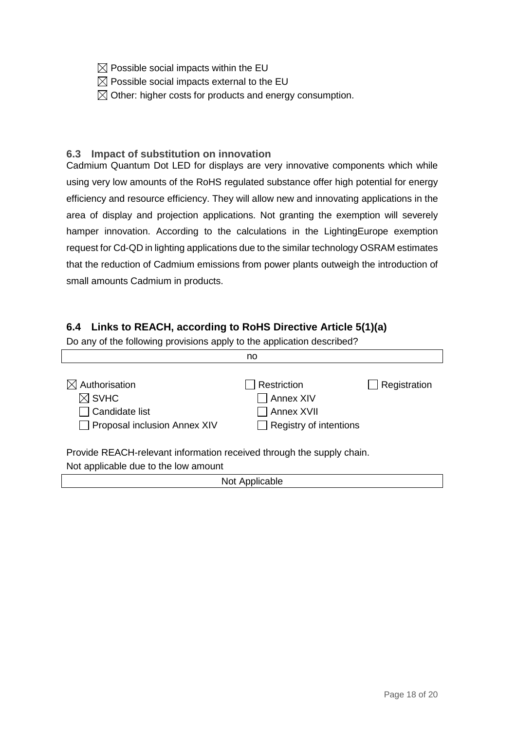- $\boxtimes$  Possible social impacts within the EU
- $\boxtimes$  Possible social impacts external to the EU
- $\boxtimes$  Other: higher costs for products and energy consumption.

#### <span id="page-17-0"></span>**6.3 Impact of substitution on innovation**

Cadmium Quantum Dot LED for displays are very innovative components which while using very low amounts of the RoHS regulated substance offer high potential for energy efficiency and resource efficiency. They will allow new and innovating applications in the area of display and projection applications. Not granting the exemption will severely hamper innovation. According to the calculations in the LightingEurope exemption request for Cd-QD in lighting applications due to the similar technology OSRAM estimates that the reduction of Cadmium emissions from power plants outweigh the introduction of small amounts Cadmium in products.

#### <span id="page-17-1"></span>**6.4 Links to REACH, according to RoHS Directive Article 5(1)(a)**

Do any of the following provisions apply to the application described?

|                                                                                                               | no                                                                      |                     |
|---------------------------------------------------------------------------------------------------------------|-------------------------------------------------------------------------|---------------------|
| Authorisation<br>$\boxtimes$ SVHC<br>Candidate list<br>Proposal inclusion Annex XIV                           | Restriction<br>Annex XIV<br>Annex XVII<br>$\Box$ Registry of intentions | <b>Registration</b> |
| Provide REACH-relevant information received through the supply chain.<br>Not applicable due to the low amount |                                                                         |                     |

<span id="page-17-2"></span>

| Not Applicable |  |
|----------------|--|
|                |  |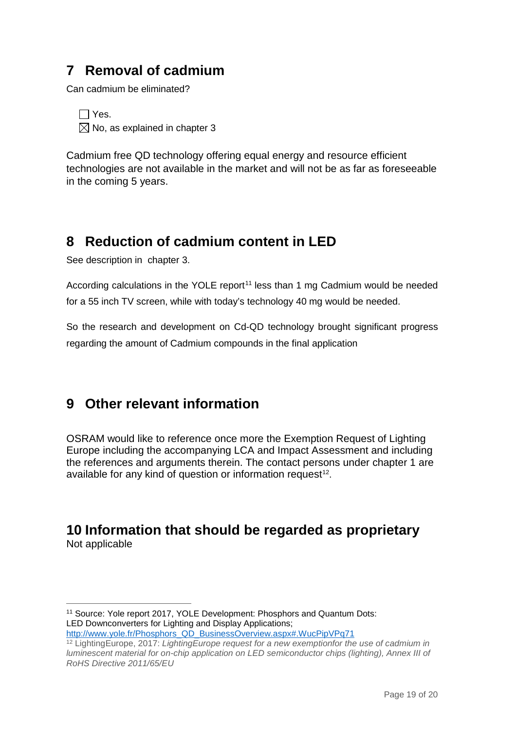# **7 Removal of cadmium**

Can cadmium be eliminated?

 $\Box$  Yes.  $\boxtimes$  No, as explained in chapter 3

Cadmium free QD technology offering equal energy and resource efficient technologies are not available in the market and will not be as far as foreseeable in the coming 5 years.

# <span id="page-18-0"></span>**8 Reduction of cadmium content in LED**

See description in chapter 3.

According calculations in the YOLE report<sup>[11](#page-18-4)</sup> less than 1 mg Cadmium would be needed for a 55 inch TV screen, while with today's technology 40 mg would be needed.

So the research and development on Cd-QD technology brought significant progress regarding the amount of Cadmium compounds in the final application

# <span id="page-18-1"></span>**9 Other relevant information**

OSRAM would like to reference once more the Exemption Request of Lighting Europe including the accompanying LCA and Impact Assessment and including the references and arguments therein. The contact persons under chapter 1 are available for any kind of question or information request<sup>12</sup>.

### <span id="page-18-3"></span><span id="page-18-2"></span>**10 Information that should be regarded as proprietary** Not applicable

<span id="page-18-4"></span><sup>11</sup> Source: Yole report 2017, YOLE Development: Phosphors and Quantum Dots: LED Downconverters for Lighting and Display Applications; [http://www.yole.fr/Phosphors\\_QD\\_BusinessOverview.aspx#.WucPipVPq71](http://www.yole.fr/Phosphors_QD_BusinessOverview.aspx%23.WucPipVPq71)  $\overline{a}$ 

<span id="page-18-5"></span><sup>12</sup> LightingEurope, 2017: *LightingEurope request for a new exemptionfor the use of cadmium in luminescent material for on-chip application on LED semiconductor chips (lighting), Annex III of RoHS Directive 2011/65/EU*